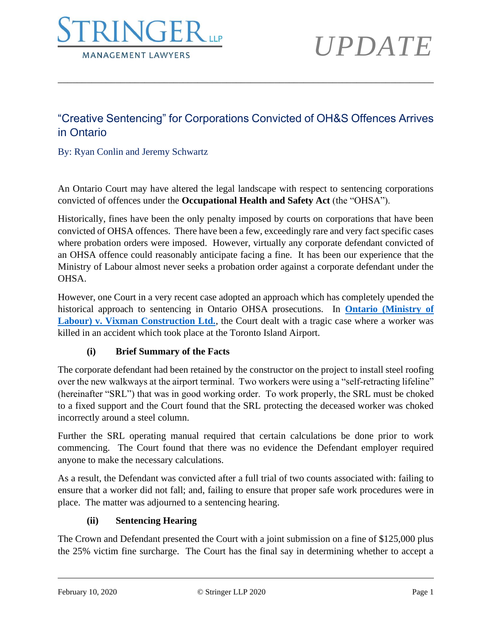

### "Creative Sentencing" for Corporations Convicted of OH&S Offences Arrives in Ontario

\_\_\_\_\_\_\_\_\_\_\_\_\_\_\_\_\_\_\_\_\_\_\_\_\_\_\_\_\_\_\_\_\_\_\_\_\_\_\_\_\_\_\_\_\_\_\_\_\_\_\_\_\_\_\_\_\_\_\_\_\_\_\_\_\_\_\_\_\_\_\_\_\_\_\_\_\_\_

By: Ryan Conlin and Jeremy Schwartz

An Ontario Court may have altered the legal landscape with respect to sentencing corporations convicted of offences under the **Occupational Health and Safety Act** (the "OHSA").

Historically, fines have been the only penalty imposed by courts on corporations that have been convicted of OHSA offences. There have been a few, exceedingly rare and very fact specific cases where probation orders were imposed. However, virtually any corporate defendant convicted of an OHSA offence could reasonably anticipate facing a fine. It has been our experience that the Ministry of Labour almost never seeks a probation order against a corporate defendant under the OHSA.

However, one Court in a very recent case adopted an approach which has completely upended the historical approach to sentencing in Ontario OHSA prosecutions. In **[Ontario \(Ministry of](http://www.stringerllp.com/uploads/ckeditor/attachment_files/874/ontario_ministry_of_labour_v_vixman_construction_ltd.pdf)  [Labour\) v. Vixman Construction Ltd.](http://www.stringerllp.com/uploads/ckeditor/attachment_files/874/ontario_ministry_of_labour_v_vixman_construction_ltd.pdf)**, the Court dealt with a tragic case where a worker was killed in an accident which took place at the Toronto Island Airport.

#### **(i) Brief Summary of the Facts**

The corporate defendant had been retained by the constructor on the project to install steel roofing over the new walkways at the airport terminal. Two workers were using a "self-retracting lifeline" (hereinafter "SRL") that was in good working order. To work properly, the SRL must be choked to a fixed support and the Court found that the SRL protecting the deceased worker was choked incorrectly around a steel column.

Further the SRL operating manual required that certain calculations be done prior to work commencing. The Court found that there was no evidence the Defendant employer required anyone to make the necessary calculations.

As a result, the Defendant was convicted after a full trial of two counts associated with: failing to ensure that a worker did not fall; and, failing to ensure that proper safe work procedures were in place. The matter was adjourned to a sentencing hearing.

#### **(ii) Sentencing Hearing**

The Crown and Defendant presented the Court with a joint submission on a fine of \$125,000 plus the 25% victim fine surcharge. The Court has the final say in determining whether to accept a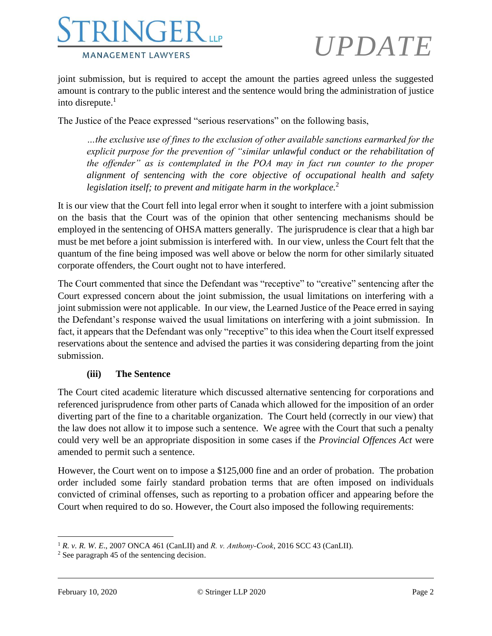

joint submission, but is required to accept the amount the parties agreed unless the suggested amount is contrary to the public interest and the sentence would bring the administration of justice into disrepute. $<sup>1</sup>$ </sup>

The Justice of the Peace expressed "serious reservations" on the following basis,

*…the exclusive use of fines to the exclusion of other available sanctions earmarked for the explicit purpose for the prevention of "similar unlawful conduct or the rehabilitation of the offender" as is contemplated in the POA may in fact run counter to the proper alignment of sentencing with the core objective of occupational health and safety legislation itself; to prevent and mitigate harm in the workplace.*<sup>2</sup>

It is our view that the Court fell into legal error when it sought to interfere with a joint submission on the basis that the Court was of the opinion that other sentencing mechanisms should be employed in the sentencing of OHSA matters generally. The jurisprudence is clear that a high bar must be met before a joint submission is interfered with. In our view, unless the Court felt that the quantum of the fine being imposed was well above or below the norm for other similarly situated corporate offenders, the Court ought not to have interfered.

The Court commented that since the Defendant was "receptive" to "creative" sentencing after the Court expressed concern about the joint submission, the usual limitations on interfering with a joint submission were not applicable. In our view, the Learned Justice of the Peace erred in saying the Defendant's response waived the usual limitations on interfering with a joint submission. In fact, it appears that the Defendant was only "receptive" to this idea when the Court itself expressed reservations about the sentence and advised the parties it was considering departing from the joint submission.

#### **(iii) The Sentence**

The Court cited academic literature which discussed alternative sentencing for corporations and referenced jurisprudence from other parts of Canada which allowed for the imposition of an order diverting part of the fine to a charitable organization. The Court held (correctly in our view) that the law does not allow it to impose such a sentence. We agree with the Court that such a penalty could very well be an appropriate disposition in some cases if the *Provincial Offences Act* were amended to permit such a sentence.

However, the Court went on to impose a \$125,000 fine and an order of probation. The probation order included some fairly standard probation terms that are often imposed on individuals convicted of criminal offenses, such as reporting to a probation officer and appearing before the Court when required to do so. However, the Court also imposed the following requirements:

<sup>1</sup> *R. v. R. W. E*., 2007 ONCA 461 (CanLII) and *R. v. Anthony‑Cook*, 2016 SCC 43 (CanLII).

<sup>2</sup> See paragraph 45 of the sentencing decision.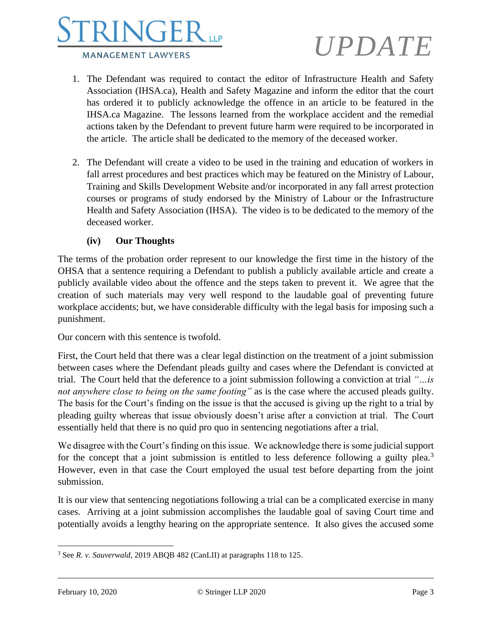

- 1. The Defendant was required to contact the editor of Infrastructure Health and Safety Association (IHSA.ca), Health and Safety Magazine and inform the editor that the court has ordered it to publicly acknowledge the offence in an article to be featured in the IHSA.ca Magazine. The lessons learned from the workplace accident and the remedial actions taken by the Defendant to prevent future harm were required to be incorporated in the article. The article shall be dedicated to the memory of the deceased worker.
- 2. The Defendant will create a video to be used in the training and education of workers in fall arrest procedures and best practices which may be featured on the Ministry of Labour, Training and Skills Development Website and/or incorporated in any fall arrest protection courses or programs of study endorsed by the Ministry of Labour or the Infrastructure Health and Safety Association (IHSA). The video is to be dedicated to the memory of the deceased worker.

#### **(iv) Our Thoughts**

The terms of the probation order represent to our knowledge the first time in the history of the OHSA that a sentence requiring a Defendant to publish a publicly available article and create a publicly available video about the offence and the steps taken to prevent it. We agree that the creation of such materials may very well respond to the laudable goal of preventing future workplace accidents; but, we have considerable difficulty with the legal basis for imposing such a punishment.

Our concern with this sentence is twofold.

First, the Court held that there was a clear legal distinction on the treatment of a joint submission between cases where the Defendant pleads guilty and cases where the Defendant is convicted at trial. The Court held that the deference to a joint submission following a conviction at trial *"…is not anywhere close to being on the same footing"* as is the case where the accused pleads guilty. The basis for the Court's finding on the issue is that the accused is giving up the right to a trial by pleading guilty whereas that issue obviously doesn't arise after a conviction at trial. The Court essentially held that there is no quid pro quo in sentencing negotiations after a trial.

We disagree with the Court's finding on this issue. We acknowledge there is some judicial support for the concept that a joint submission is entitled to less deference following a guilty plea.<sup>3</sup> However, even in that case the Court employed the usual test before departing from the joint submission.

It is our view that sentencing negotiations following a trial can be a complicated exercise in many cases. Arriving at a joint submission accomplishes the laudable goal of saving Court time and potentially avoids a lengthy hearing on the appropriate sentence. It also gives the accused some

<sup>3</sup> See *R. v. Sauverwald*, 2019 ABQB 482 (CanLII) at paragraphs 118 to 125.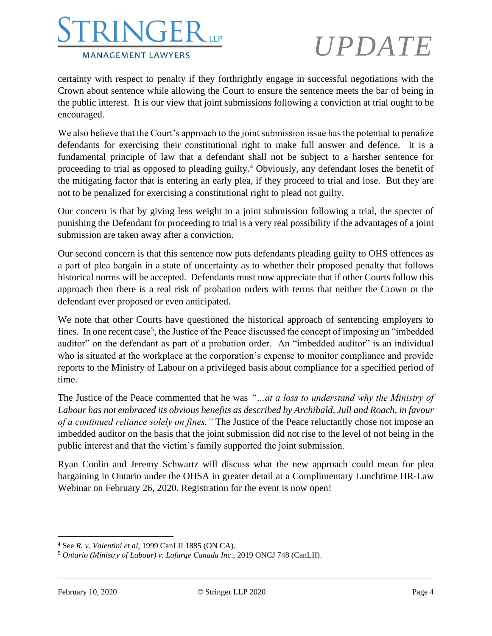

certainty with respect to penalty if they forthrightly engage in successful negotiations with the Crown about sentence while allowing the Court to ensure the sentence meets the bar of being in the public interest. It is our view that joint submissions following a conviction at trial ought to be encouraged.

We also believe that the Court's approach to the joint submission issue has the potential to penalize defendants for exercising their constitutional right to make full answer and defence. It is a fundamental principle of law that a defendant shall not be subject to a harsher sentence for proceeding to trial as opposed to pleading guilty.<sup>4</sup> Obviously, any defendant loses the benefit of the mitigating factor that is entering an early plea, if they proceed to trial and lose. But they are not to be penalized for exercising a constitutional right to plead not guilty.

Our concern is that by giving less weight to a joint submission following a trial, the specter of punishing the Defendant for proceeding to trial is a very real possibility if the advantages of a joint submission are taken away after a conviction.

Our second concern is that this sentence now puts defendants pleading guilty to OHS offences as a part of plea bargain in a state of uncertainty as to whether their proposed penalty that follows historical norms will be accepted. Defendants must now appreciate that if other Courts follow this approach then there is a real risk of probation orders with terms that neither the Crown or the defendant ever proposed or even anticipated.

We note that other Courts have questioned the historical approach of sentencing employers to fines. In one recent case<sup>5</sup>, the Justice of the Peace discussed the concept of imposing an "imbedded auditor" on the defendant as part of a probation order. An "imbedded auditor" is an individual who is situated at the workplace at the corporation's expense to monitor compliance and provide reports to the Ministry of Labour on a privileged basis about compliance for a specified period of time.

The Justice of the Peace commented that he was *"…at a loss to understand why the Ministry of Labour has not embraced its obvious benefits as described by Archibald, Jull and Roach, in favour of a continued reliance solely on fines."* The Justice of the Peace reluctantly chose not impose an imbedded auditor on the basis that the joint submission did not rise to the level of not being in the public interest and that the victim's family supported the joint submission.

Ryan Conlin and Jeremy Schwartz will discuss what the new approach could mean for plea bargaining in Ontario under the OHSA in greater detail at a Complimentary Lunchtime HR-Law Webinar on February 26, 2020. Registration for the event is now open!

<sup>4</sup> See *R. v. Valentini et al*, 1999 CanLII 1885 (ON CA).

<sup>5</sup> *Ontario (Ministry of Labour) v. Lafarge Canada Inc*., 2019 ONCJ 748 (CanLII).